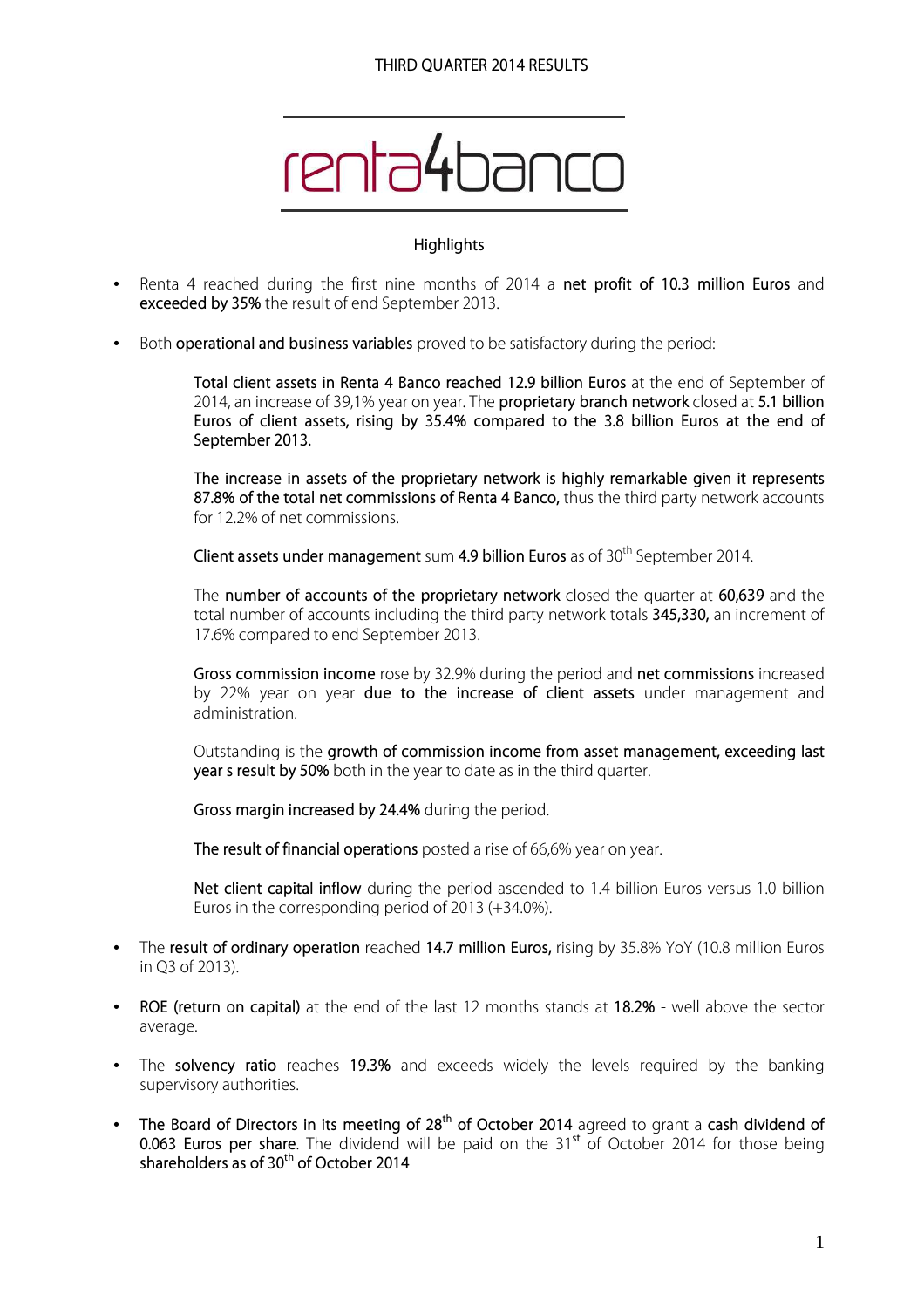

#### **Highlights**

- Renta 4 reached during the first nine months of 2014 a **net profit of 10.3 million Euros** and **exceeded by 35%** the result of end September 2013.
- Both **operational and business variables** proved to be satisfactory during the period:

**Total client assets in Renta 4 Banco reached 12.9 billion Euros** at the end of September of 2014, an increase of 39,1% year on year. The **proprietary branch network** closed at **5.1 billion Euros of client assets, rising by 35.4% compared to the 3.8 billion Euros at the end of September 2013.** 

**The increase in assets of the proprietary network is highly remarkable given it represents 87.8% of the total net commissions of Renta 4 Banco,** thus the third party network accounts for 12.2% of net commissions.

**Client assets under management** sum **4.9 billion Euros** as of 30<sup>th</sup> September 2014.

The **number of accounts of the proprietary network** closed the quarter at **60,639** and the total number of accounts including the third party network totals **345,330,** an increment of 17.6% compared to end September 2013.

**Gross commission income** rose by 32.9% during the period and **net commissions** increased by 22% year on year **due to the increase of client assets** under management and administration.

Outstanding is the **growth of commission income from asset management, exceeding last year4s result by 50%** both in the year to date as in the third quarter.

**Gross margin increased by 24.4%** during the period.

**The result of financial operations** posted a rise of 66,6% year on year.

**Net client capital inflow** during the period ascended to 1.4 billion Euros versus 1.0 billion Euros in the corresponding period of 2013 (+34.0%).

- The **result of ordinary operation** reached **14.7 million Euros,** rising by 35.8% YoY (10.8 million Euros in Q3 of 2013).
- **ROE (return on capital)** at the end of the last 12 months stands at **18.2%** well above the sector average.
- The **solvency ratio** reaches **19.3%** and exceeds widely the levels required by the banking supervisory authorities.
- **The Board of Directors in its meeting of 28th of October 2014** agreed to grant a **cash dividend of 0.063 Euros per share.** The dividend will be paid on the 31<sup>st</sup> of October 2014 for those being **shareholders as of 30th of October 2014**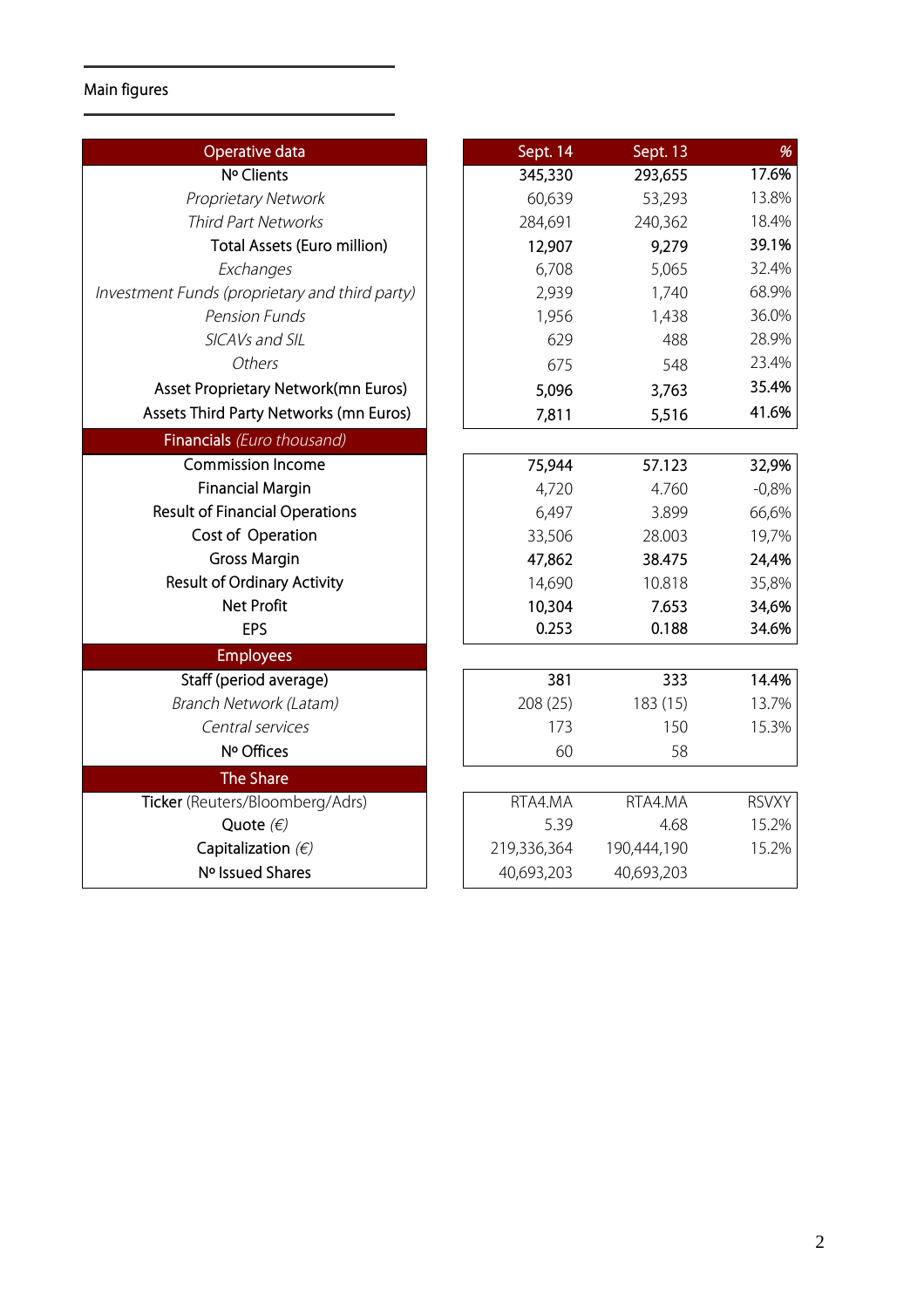# **Main figures**

| Operative data                                 | Sept. 14    | Sept. 13    | %            |
|------------------------------------------------|-------------|-------------|--------------|
| Nº Clients                                     | 345,330     | 293,655     | 17.6%        |
| <b>Proprietary Network</b>                     | 60,639      | 53,293      | 13.8%        |
| <b>Third Part Networks</b>                     | 284,691     | 240,362     | 18.4%        |
| Total Assets (Euro million)                    | 12,907      | 9,279       | 39.1%        |
| Exchanges                                      | 6,708       | 5,065       | 32.4%        |
| Investment Funds (proprietary and third party) | 2,939       | 1,740       | 68.9%        |
| <b>Pension Funds</b>                           | 1,956       | 1,438       | 36.0%        |
| SICAVs and SIL                                 | 629         | 488         | 28.9%        |
| Others                                         | 675         | 548         | 23.4%        |
| Asset Proprietary Network(mn Euros)            | 5,096       | 3,763       | 35.4%        |
| Assets Third Party Networks (mn Euros)         | 7,811       | 5,516       | 41.6%        |
| Financials (Euro thousand)                     |             |             |              |
| <b>Commission Income</b>                       | 75,944      | 57.123      | 32,9%        |
| <b>Financial Margin</b>                        | 4,720       | 4.760       | $-0,8%$      |
| <b>Result of Financial Operations</b>          | 6,497       | 3.899       | 66,6%        |
| Cost of Operation                              | 33,506      | 28.003      | 19,7%        |
| <b>Gross Margin</b>                            | 47,862      | 38.475      | 24,4%        |
| <b>Result of Ordinary Activity</b>             | 14,690      | 10.818      | 35,8%        |
| <b>Net Profit</b>                              | 10,304      | 7.653       | 34,6%        |
| <b>EPS</b>                                     | 0.253       | 0.188       | 34.6%        |
| <b>Employees</b>                               |             |             |              |
| Staff (period average)                         | 381         | 333         | 14.4%        |
| Branch Network (Latam)                         | 208 (25)    | 183 (15)    | 13.7%        |
| Central services                               | 173         | 150         | 15.3%        |
| Nº Offices                                     | 60          | 58          |              |
| <b>The Share</b>                               |             |             |              |
| Ticker (Reuters/Bloomberg/Adrs)                | RTA4.MA     | RTA4.MA     | <b>RSVXY</b> |
| Quote $(\epsilon)$                             | 5.39        | 4.68        | 15.2%        |
| Capitalization $(E)$                           | 219,336,364 | 190,444,190 | 15.2%        |
| Nº Issued Shares                               | 40,693,203  | 40,693,203  |              |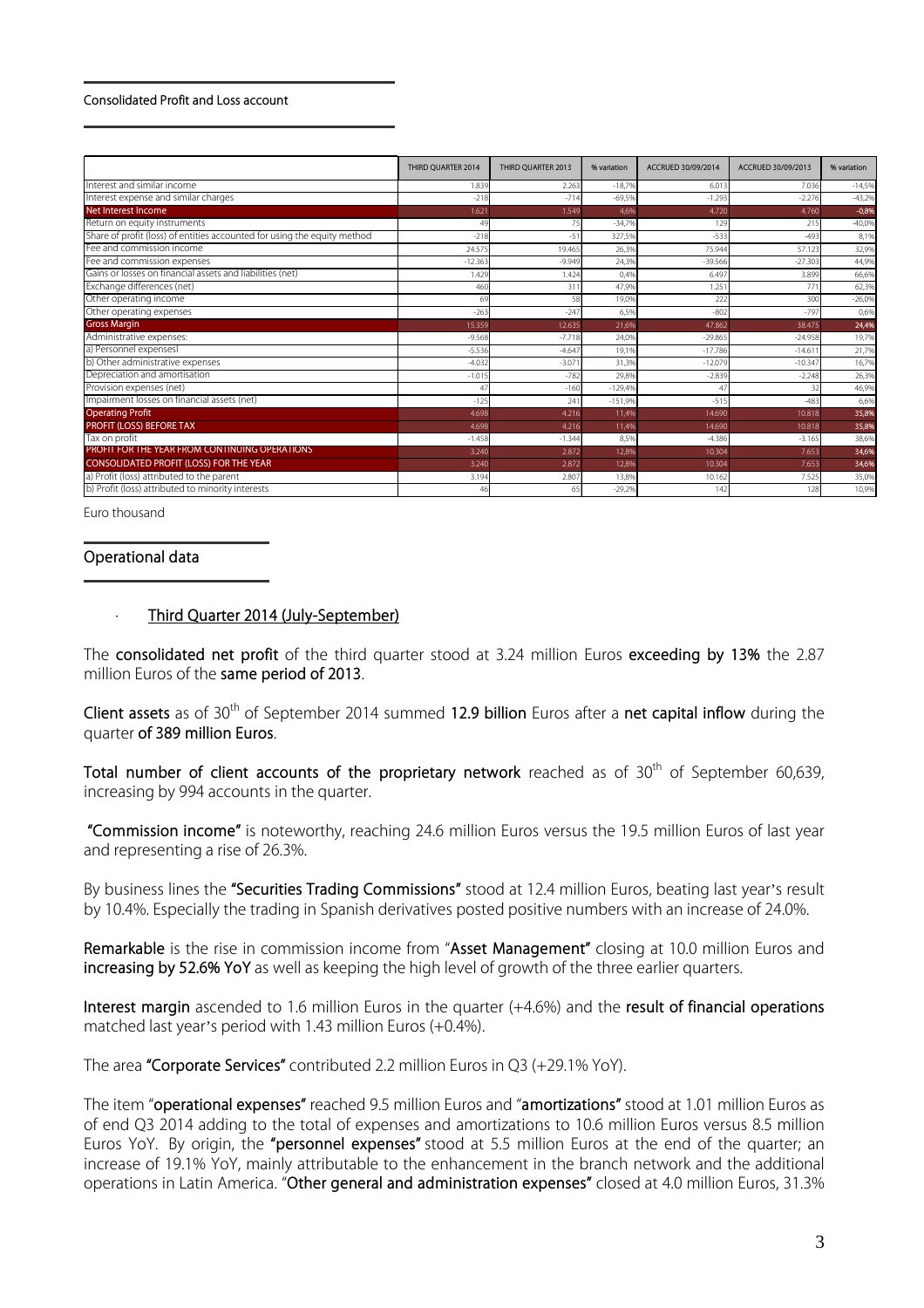#### **Consolidated Profit and Loss account**

|                                                                          | THIRD QUARTER 2014 | THIRD QUARTER 2013 | % variation | ACCRUED 30/09/2014 | ACCRUED 30/09/2013 | % variation |
|--------------------------------------------------------------------------|--------------------|--------------------|-------------|--------------------|--------------------|-------------|
| Interest and similar income                                              | 1.839              | 2.263              | $-18.7%$    | 6.013              | 7.036              | $-14,5%$    |
| Interest expense and similar charges                                     | $-218$             | $-714$             | $-69.5%$    | $-1.293$           | $-2.276$           | $-43,2%$    |
| Net Interest Income                                                      | 1.621              | 1.549              | 4,6%        | 4.720              | 4.760              | $-0,8%$     |
| Return on equity instruments                                             | 49                 | 75                 | $-34.7%$    | 129                | 215                | $-40,0%$    |
| Share of profit (loss) of entities accounted for using the equity method | $-218$             | $-51$              | 327.59      | $-533$             | $-493$             | 8,1%        |
| Fee and commission income                                                | 24.575             | 19.465             | 26,3%       | 75.944             | 57.123             | 32,9%       |
| Fee and commission expenses                                              | $-12.363$          | $-9.949$           | 24,3%       | $-39.566$          | $-27.303$          | 44,9%       |
| Gains or losses on financial assets and liabilities (net)                | 1.429              | 1.424              | 0,4%        | 6.497              | 3.899              | 66,6%       |
| Exchange differences (net)                                               | 460                | 311                | 47.9%       | 1.25               | 771                | 62,3%       |
| Other operating income                                                   | 6 <sup>c</sup>     | 58                 | 19.09       | 222                | 300                | $-26,0%$    |
| Other operating expenses                                                 | $-263$             | $-247$             | 6,5%        | $-802$             | $-797$             | 0,6%        |
| <b>Gross Margin</b>                                                      | 15.359             | 12.635             | 21,6%       | 47.862             | 38.475             | 24,4%       |
| Administrative expenses:                                                 | $-9.568$           | $-7.718$           | 24,0%       | $-29.865$          | $-24.958$          | 19,7%       |
| a) Personnel expensesl                                                   | $-5.536$           | $-4.647$           | 19.1%       | $-17.786$          | $-14.61$           | 21,7%       |
| b) Other administrative expenses                                         | $-4.032$           | $-3.07$            | 31.3%       | $-12.079$          | $-10.347$          | 16,7%       |
| Depreciation and amortisation                                            | $-1.015$           | $-782$             | 29,8%       | $-2.839$           | $-2.248$           | 26,3%       |
| Provision expenses (net)                                                 | 47                 | $-160$             | $-129.49$   | 47                 | 32                 | 46,9%       |
| Impairment losses on financial assets (net)                              | $-125$             | 241                | $-151,9%$   | $-515$             | $-483$             | 6,6%        |
| <b>Operating Profit</b>                                                  | 4.698              | 4.216              | 11.4%       | 14.690             | 10.818             | 35,8%       |
| PROFIT (LOSS) BEFORE TAX                                                 | 4.698              | 4.216              | 11,4%       | 14.690             | 10.818             | 35,8%       |
| Tax on profit                                                            | $-1.458$           | $-1.344$           | 8,5%        | $-4.386$           | $-3.165$           | 38,6%       |
| PROFIT FOR THE YEAR FROM CONTINUING OPERATIONS                           | 3.240              | 2.872              | 12.8%       | 10.304             | 7.653              | 34,6%       |
| <b>CONSOLIDATED PROFIT (LOSS) FOR THE YEAR</b>                           | 3.240              | 2.872              | 12,8%       | 10.304             | 7.653              | 34,6%       |
| a) Profit (loss) attributed to the parent                                | 3.194              | 2.807              | 13.8%       | 10.162             | 7.525              | 35,0%       |
| b) Profit (loss) attributed to minority interests                        | 46                 | 65                 | $-29,2%$    | 142                | 128                | 10,9%       |

Euro thousand

#### **Operational data**

#### · **Third Quarter 2014 (July-September)**

The **consolidated net profit** of the third quarter stood at 3.24 million Euros **exceeding by 13%** the 2.87 million Euros of the **same period of 2013**.

**Client assets** as of 30th of September 2014 summed **12.9 billion** Euros after a **net capital inflow** during the quarter **of 389 million Euros**.

Total number of client accounts of the proprietary network reached as of 30<sup>th</sup> of September 60,639, increasing by 994 accounts in the quarter.

**"Commission income"** is noteworthy, reaching 24.6 million Euros versus the 19.5 million Euros of last year and representing a rise of 26.3%.

By business lines the **"Securities Trading Commissions"** stood at 12.4 million Euros, beating last year's result by 10.4%. Especially the trading in Spanish derivatives posted positive numbers with an increase of 24.0%.

**Remarkable** is the rise in commission income from "**Asset Management"** closing at 10.0 million Euros and **increasing by 52.6% YoY** as well as keeping the high level of growth of the three earlier quarters.

**Interest margin** ascended to 1.6 million Euros in the quarter (+4.6%) and the **result of financial operations** matched last year's period with 1.43 million Euros (+0.4%).

The area **"Corporate Services"** contributed 2.2 million Euros in Q3 (+29.1% YoY).

The item "**operational expenses"** reached 9.5 million Euros and "**amortizations"** stood at 1.01 million Euros as of end Q3 2014 adding to the total of expenses and amortizations to 10.6 million Euros versus 8.5 million Euros YoY. By origin, the **"personnel expenses"** stood at 5.5 million Euros at the end of the quarter; an increase of 19.1% YoY, mainly attributable to the enhancement in the branch network and the additional operations in Latin America. "**Other general and administration expenses"** closed at 4.0 million Euros, 31.3%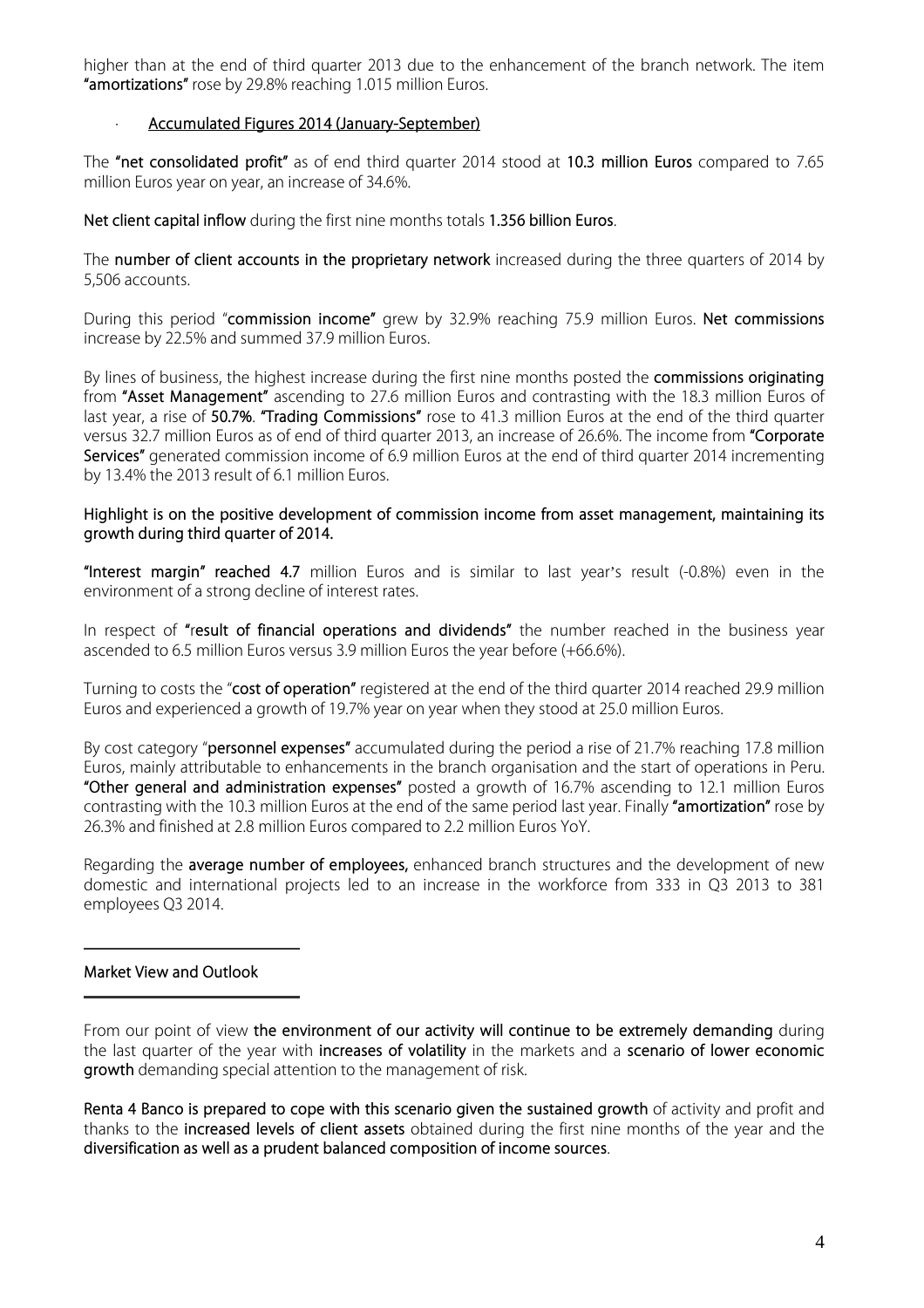higher than at the end of third quarter 2013 due to the enhancement of the branch network. The item **"amortizations"** rose by 29.8% reaching 1.015 million Euros.

### · **Accumulated Figures 2014 (January-September)**

The **"net consolidated profit"** as of end third quarter 2014 stood at **10.3 million Euros** compared to 7.65 million Euros year on year, an increase of 34.6%.

**Net client capital inflow** during the first nine months totals **1.356 billion Euros**.

The **number of client accounts in the proprietary network** increased during the three quarters of 2014 by 5,506 accounts.

During this period "**commission income"** grew by 32.9% reaching 75.9 million Euros. **Net commissions** increase by 22.5% and summed 37.9 million Euros.

By lines of business, the highest increase during the first nine months posted the **commissions originating** from **"Asset Management"** ascending to 27.6 million Euros and contrasting with the 18.3 million Euros of last year, a rise of **50.7%**. **"Trading Commissions"** rose to 41.3 million Euros at the end of the third quarter versus 32.7 million Euros as of end of third quarter 2013, an increase of 26.6%. The income from **"Corporate Services"** generated commission income of 6.9 million Euros at the end of third quarter 2014 incrementing by 13.4% the 2013 result of 6.1 million Euros.

### **Highlight is on the positive development of commission income from asset management, maintaining its growth during third quarter of 2014.**

**"Interest margin" reached 4.7** million Euros and is similar to last year's result (-0.8%) even in the environment of a strong decline of interest rates.

In respect of **"**r**esult of financial operations and dividends"** the number reached in the business year ascended to 6.5 million Euros versus 3.9 million Euros the year before (+66.6%).

Turning to costs the "**cost of operation"** registered at the end of the third quarter 2014 reached 29.9 million Euros and experienced a growth of 19.7% year on year when they stood at 25.0 million Euros.

By cost category "**personnel expenses"** accumulated during the period a rise of 21.7% reaching 17.8 million Euros, mainly attributable to enhancements in the branch organisation and the start of operations in Peru. **"Other general and administration expenses"** posted a growth of 16.7% ascending to 12.1 million Euros contrasting with the 10.3 million Euros at the end of the same period last year. Finally **"amortization"** rose by 26.3% and finished at 2.8 million Euros compared to 2.2 million Euros YoY.

Regarding the **average number of employees,** enhanced branch structures and the development of new domestic and international projects led to an increase in the workforce from 333 in Q3 2013 to 381 employees Q3 2014.

## **Market View and Outlook**

From our point of view **the environment of our activity will continue to be extremely demanding** during the last quarter of the year with **increases of volatility** in the markets and a **scenario of lower economic growth** demanding special attention to the management of risk.

**Renta 4 Banco is prepared to cope with this scenario given the sustained growth** of activity and profit and thanks to the **increased levels of client assets** obtained during the first nine months of the year and the **diversification as well as a prudent balanced composition of income sources**.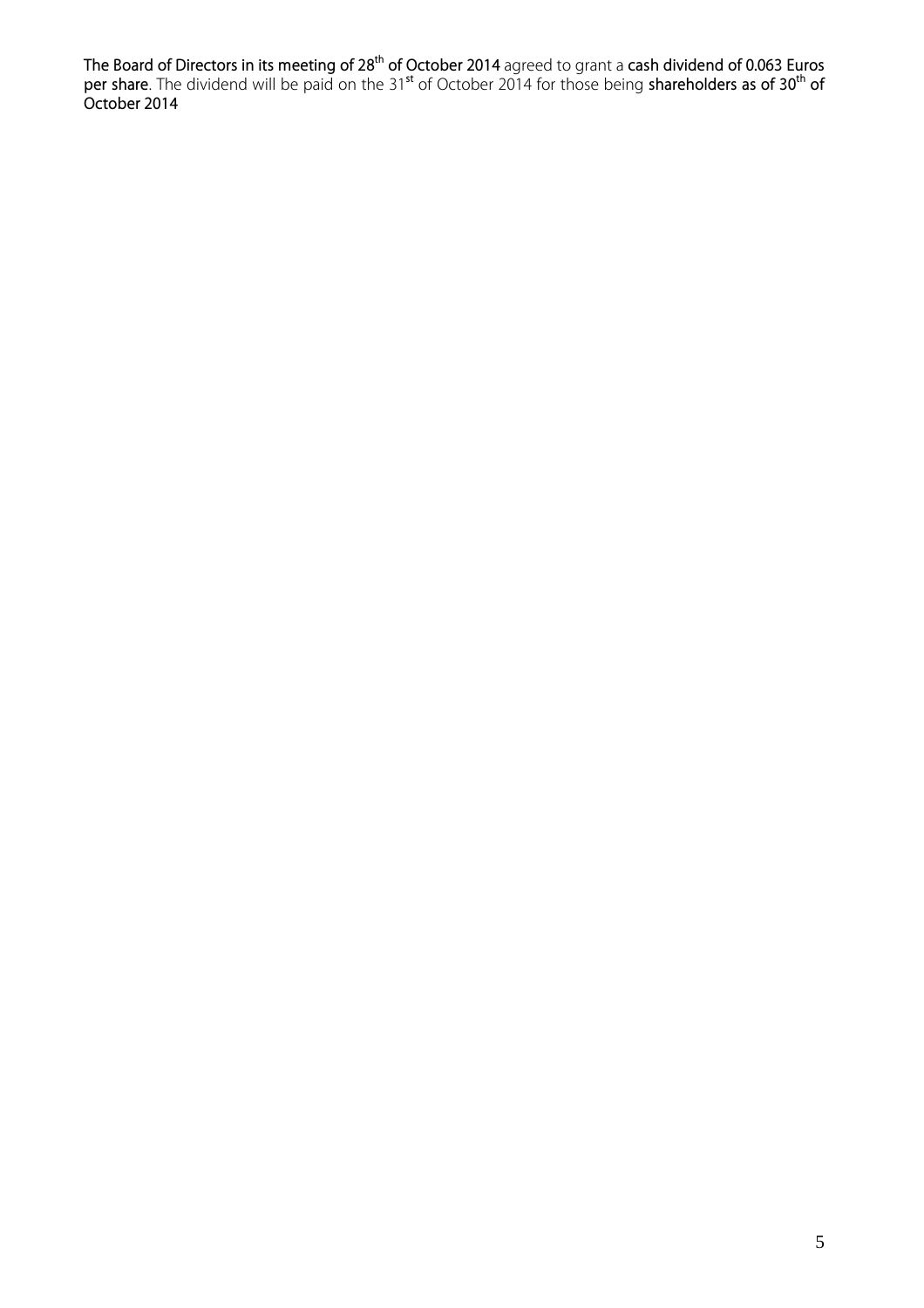**The Board of Directors in its meeting of 28th of October 2014** agreed to grant a **cash dividend of 0.063 Euros per share**. The dividend will be paid on the 31**st** of October 2014 for those being **shareholders as of 30th of October 2014**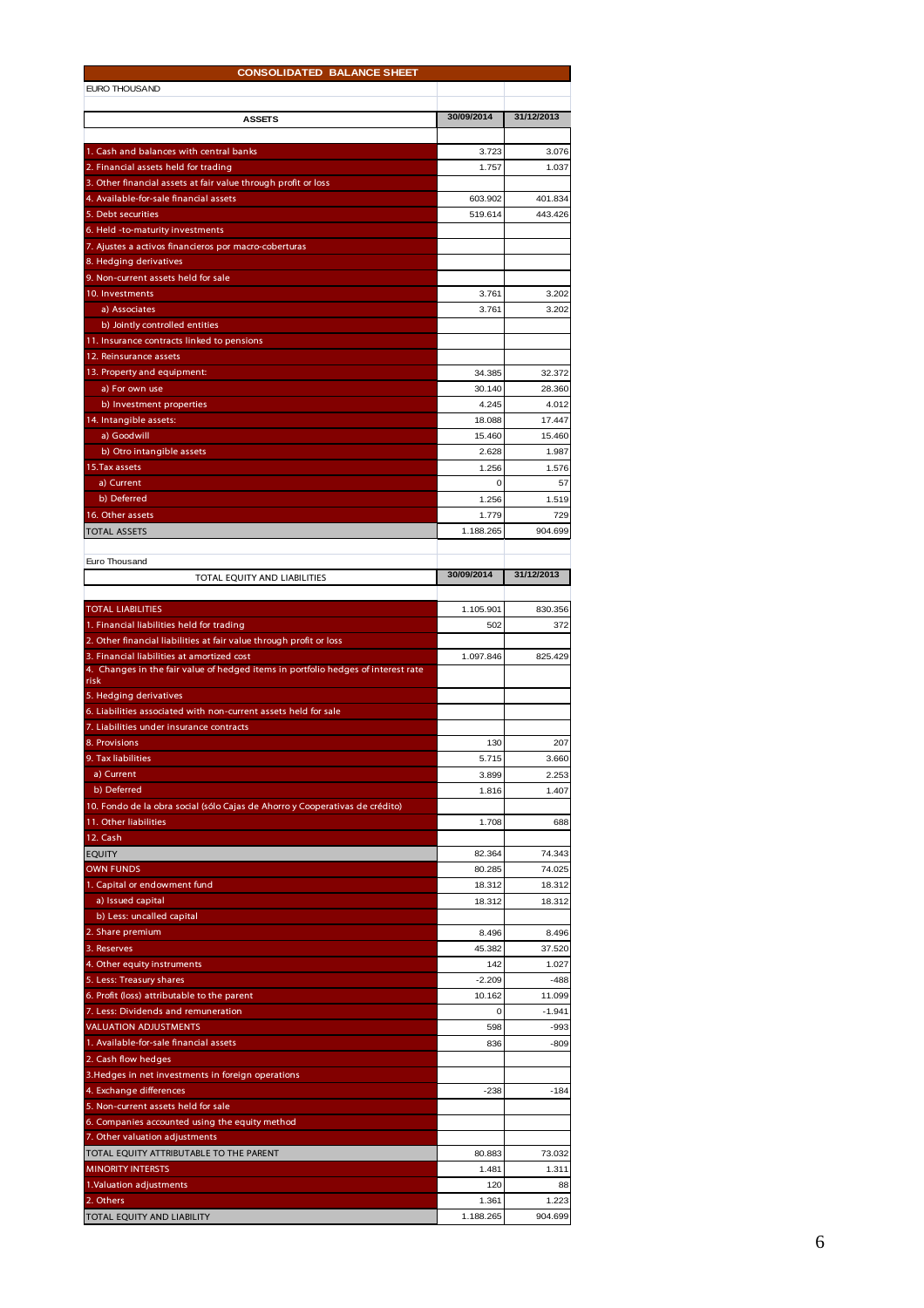| <b>CONSOLIDATED BALANCE SHEET</b>                                                                      |                |                  |  |  |  |  |
|--------------------------------------------------------------------------------------------------------|----------------|------------------|--|--|--|--|
| EURO THOUSAND                                                                                          |                |                  |  |  |  |  |
|                                                                                                        |                |                  |  |  |  |  |
| <b>ASSETS</b>                                                                                          | 30/09/2014     | 31/12/2013       |  |  |  |  |
|                                                                                                        |                |                  |  |  |  |  |
| 1. Cash and balances with central banks                                                                | 3.723<br>1.757 | 3.076<br>1.037   |  |  |  |  |
| 2. Financial assets held for trading<br>3. Other financial assets at fair value through profit or loss |                |                  |  |  |  |  |
| 4. Available-for-sale financial assets                                                                 | 603.902        | 401.834          |  |  |  |  |
| 5. Debt securities                                                                                     | 519.614        | 443.426          |  |  |  |  |
| 6. Held -to-maturity investments                                                                       |                |                  |  |  |  |  |
| 7. Ajustes a activos financieros por macro-coberturas                                                  |                |                  |  |  |  |  |
| 8. Hedging derivatives                                                                                 |                |                  |  |  |  |  |
| 9. Non-current assets held for sale                                                                    |                |                  |  |  |  |  |
| 10. Investments                                                                                        | 3.761          | 3.202            |  |  |  |  |
| a) Associates                                                                                          | 3.761          | 3.202            |  |  |  |  |
| b) Jointly controlled entities                                                                         |                |                  |  |  |  |  |
| 11. Insurance contracts linked to pensions                                                             |                |                  |  |  |  |  |
| 12. Reinsurance assets                                                                                 |                |                  |  |  |  |  |
| 13. Property and equipment:                                                                            | 34.385         | 32.372           |  |  |  |  |
| a) For own use                                                                                         | 30.140         | 28.360           |  |  |  |  |
| b) Investment properties                                                                               | 4.245          | 4.012            |  |  |  |  |
| 14. Intangible assets:                                                                                 | 18.088         | 17.447           |  |  |  |  |
| a) Goodwill                                                                                            | 15.460         | 15.460           |  |  |  |  |
| b) Otro intangible assets                                                                              | 2.628          | 1.987            |  |  |  |  |
| 15. Tax assets                                                                                         | 1.256          | 1.576            |  |  |  |  |
| a) Current<br>b) Deferred                                                                              | 0              | 57               |  |  |  |  |
| 16. Other assets                                                                                       | 1.256<br>1.779 | 1.519<br>729     |  |  |  |  |
| <b>TOTAL ASSETS</b>                                                                                    | 1.188.265      | 904.699          |  |  |  |  |
|                                                                                                        |                |                  |  |  |  |  |
| Euro Thousand                                                                                          |                |                  |  |  |  |  |
| TOTAL EQUITY AND LIABILITIES                                                                           | 30/09/2014     | 31/12/2013       |  |  |  |  |
|                                                                                                        |                |                  |  |  |  |  |
| <b>TOTAL LIABILITIES</b>                                                                               | 1.105.901      | 830.356          |  |  |  |  |
| 1. Financial liabilities held for trading                                                              | 502            | 372              |  |  |  |  |
| 2. Other financial liabilities at fair value through profit or loss                                    |                |                  |  |  |  |  |
| 3. Financial liabilities at amortized cost                                                             | 1.097.846      | 825.429          |  |  |  |  |
| 4. Changes in the fair value of hedged items in portfolio hedges of interest rate                      |                |                  |  |  |  |  |
| risk<br>5. Hedging derivatives                                                                         |                |                  |  |  |  |  |
| 6. Liabilities associated with non-current assets held for sale                                        |                |                  |  |  |  |  |
| 7. Liabilities under insurance contracts                                                               |                |                  |  |  |  |  |
| 8. Provisions                                                                                          | 130            | 207              |  |  |  |  |
| 9. Tax liabilities                                                                                     | 5.715          | 3.660            |  |  |  |  |
| a) Current                                                                                             | 3.899          | 2.253            |  |  |  |  |
| b) Deferred                                                                                            | 1.816          | 1.407            |  |  |  |  |
| 10. Fondo de la obra social (sólo Cajas de Ahorro y Cooperativas de crédito)                           |                |                  |  |  |  |  |
| 11. Other liabilities                                                                                  | 1.708          | 688              |  |  |  |  |
| 12. Cash                                                                                               |                |                  |  |  |  |  |
| EQUITY                                                                                                 | 82.364         | 74.343           |  |  |  |  |
| <b>OWN FUNDS</b>                                                                                       | 80.285         | 74.025           |  |  |  |  |
| 1. Capital or endowment fund                                                                           | 18.312         | 18.312           |  |  |  |  |
| a) Issued capital                                                                                      | 18.312         | 18.312           |  |  |  |  |
| b) Less: uncalled capital                                                                              |                |                  |  |  |  |  |
| 2. Share premium                                                                                       | 8.496          | 8.496            |  |  |  |  |
| 3. Reserves                                                                                            | 45.382         | 37.520           |  |  |  |  |
| 4. Other equity instruments                                                                            | 142            | 1.027            |  |  |  |  |
| 5. Less: Treasury shares                                                                               | $-2.209$       | $-488$           |  |  |  |  |
| 6. Profit (loss) attributable to the parent<br>7. Less: Dividends and remuneration                     | 10.162         | 11.099           |  |  |  |  |
| <b>VALUATION ADJUSTMENTS</b>                                                                           | 0<br>598       | $-1.941$<br>-993 |  |  |  |  |
| 1. Available-for-sale financial assets                                                                 | 836            | $-809$           |  |  |  |  |
| 2. Cash flow hedges                                                                                    |                |                  |  |  |  |  |
| 3. Hedges in net investments in foreign operations                                                     |                |                  |  |  |  |  |
| 4. Exchange differences                                                                                | $-238$         | $-184$           |  |  |  |  |
| 5. Non-current assets held for sale                                                                    |                |                  |  |  |  |  |
| 6. Companies accounted using the equity method                                                         |                |                  |  |  |  |  |
| 7. Other valuation adjustments                                                                         |                |                  |  |  |  |  |
| TOTAL EQUITY ATTRIBUTABLE TO THE PARENT                                                                | 80.883         | 73.032           |  |  |  |  |
| <b>MINORITY INTERSTS</b>                                                                               | 1.481          | 1.311            |  |  |  |  |
| 1.Valuation adjustments                                                                                | 120            | 88               |  |  |  |  |
| 2. Others                                                                                              | 1.361          | 1.223            |  |  |  |  |
|                                                                                                        | 1.188.265      | 904.699          |  |  |  |  |